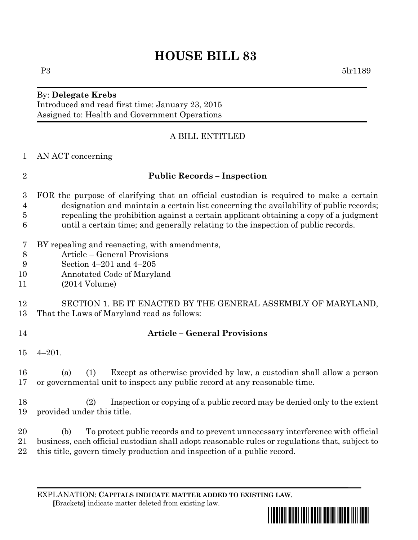# **HOUSE BILL 83**

## By: **Delegate Krebs** Introduced and read first time: January 23, 2015 Assigned to: Health and Government Operations

# A BILL ENTITLED

AN ACT concerning

## **Public Records – Inspection**

- FOR the purpose of clarifying that an official custodian is required to make a certain designation and maintain a certain list concerning the availability of public records; repealing the prohibition against a certain applicant obtaining a copy of a judgment until a certain time; and generally relating to the inspection of public records.
- BY repealing and reenacting, with amendments,
- Article General Provisions
- Section 4–201 and 4–205
- Annotated Code of Maryland
- (2014 Volume)

#### SECTION 1. BE IT ENACTED BY THE GENERAL ASSEMBLY OF MARYLAND, That the Laws of Maryland read as follows:

## **Article – General Provisions**

4–201.

 (a) (1) Except as otherwise provided by law, a custodian shall allow a person or governmental unit to inspect any public record at any reasonable time.

 (2) Inspection or copying of a public record may be denied only to the extent provided under this title.

 (b) To protect public records and to prevent unnecessary interference with official business, each official custodian shall adopt reasonable rules or regulations that, subject to this title, govern timely production and inspection of a public record.

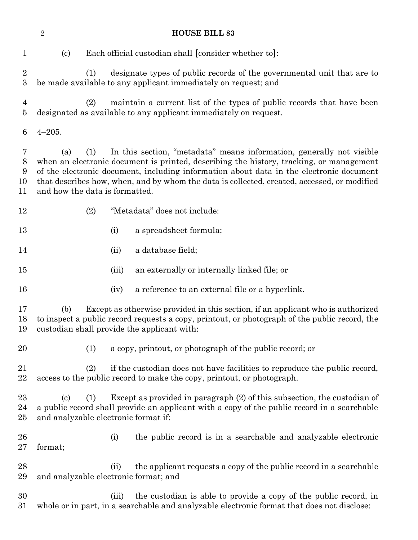| $\sqrt{2}$<br><b>HOUSE BILL 83</b> |                                                                                                                                                                                                                                                                                                                                                                                                           |       |                                                                                                                                                                |
|------------------------------------|-----------------------------------------------------------------------------------------------------------------------------------------------------------------------------------------------------------------------------------------------------------------------------------------------------------------------------------------------------------------------------------------------------------|-------|----------------------------------------------------------------------------------------------------------------------------------------------------------------|
| $\mathbf{1}$                       | $\left( \mathrm{c}\right)$                                                                                                                                                                                                                                                                                                                                                                                |       | Each official custodian shall [consider whether to]:                                                                                                           |
| $\overline{2}$<br>$\boldsymbol{3}$ | (1)                                                                                                                                                                                                                                                                                                                                                                                                       |       | designate types of public records of the governmental unit that are to<br>be made available to any applicant immediately on request; and                       |
| 4<br>5                             | (2)                                                                                                                                                                                                                                                                                                                                                                                                       |       | maintain a current list of the types of public records that have been<br>designated as available to any applicant immediately on request.                      |
| 6                                  | $4 - 205.$                                                                                                                                                                                                                                                                                                                                                                                                |       |                                                                                                                                                                |
| 7<br>$8\,$<br>9<br>10<br>11        | In this section, "metadata" means information, generally not visible<br>(1)<br>(a)<br>when an electronic document is printed, describing the history, tracking, or management<br>of the electronic document, including information about data in the electronic document<br>that describes how, when, and by whom the data is collected, created, accessed, or modified<br>and how the data is formatted. |       |                                                                                                                                                                |
| 12                                 | (2)                                                                                                                                                                                                                                                                                                                                                                                                       |       | "Metadata" does not include:                                                                                                                                   |
| 13                                 |                                                                                                                                                                                                                                                                                                                                                                                                           | (i)   | a spreadsheet formula;                                                                                                                                         |
| 14                                 |                                                                                                                                                                                                                                                                                                                                                                                                           | (ii)  | a database field;                                                                                                                                              |
| 15                                 |                                                                                                                                                                                                                                                                                                                                                                                                           | (iii) | an externally or internally linked file; or                                                                                                                    |
| 16                                 |                                                                                                                                                                                                                                                                                                                                                                                                           | (iv)  | a reference to an external file or a hyperlink.                                                                                                                |
| 17<br>18<br>19                     | Except as otherwise provided in this section, if an applicant who is authorized<br>(b)<br>to inspect a public record requests a copy, printout, or photograph of the public record, the<br>custodian shall provide the applicant with:                                                                                                                                                                    |       |                                                                                                                                                                |
| 20                                 | (1)                                                                                                                                                                                                                                                                                                                                                                                                       |       | a copy, printout, or photograph of the public record; or                                                                                                       |
| 21<br>22                           | if the custodian does not have facilities to reproduce the public record,<br>(2)<br>access to the public record to make the copy, printout, or photograph.                                                                                                                                                                                                                                                |       |                                                                                                                                                                |
| 23<br>24<br>$25\,$                 | Except as provided in paragraph $(2)$ of this subsection, the custodian of<br>$\left( \mathrm{c}\right)$<br>(1)<br>a public record shall provide an applicant with a copy of the public record in a searchable<br>and analyzable electronic format if:                                                                                                                                                    |       |                                                                                                                                                                |
| 26<br>$27\,$                       | format;                                                                                                                                                                                                                                                                                                                                                                                                   | (i)   | the public record is in a searchable and analyzable electronic                                                                                                 |
| 28<br>29                           | and analyzable electronic format; and                                                                                                                                                                                                                                                                                                                                                                     | (ii)  | the applicant requests a copy of the public record in a searchable                                                                                             |
| 30<br>$31\,$                       |                                                                                                                                                                                                                                                                                                                                                                                                           | (iii) | the custodian is able to provide a copy of the public record, in<br>whole or in part, in a searchable and analyzable electronic format that does not disclose: |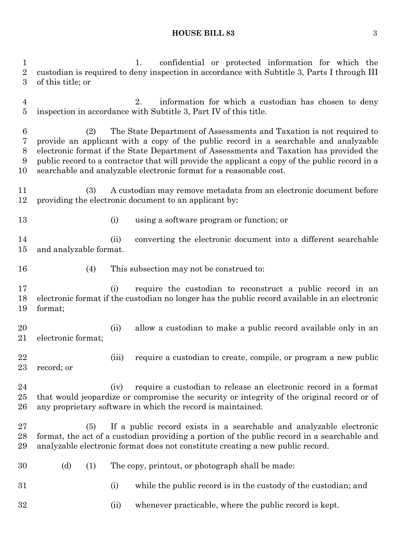#### **HOUSE BILL 83** 3

 1. confidential or protected information for which the custodian is required to deny inspection in accordance with Subtitle 3, Parts I through III of this title; or 2. information for which a custodian has chosen to deny inspection in accordance with Subtitle 3, Part IV of this title. (2) The State Department of Assessments and Taxation is not required to provide an applicant with a copy of the public record in a searchable and analyzable electronic format if the State Department of Assessments and Taxation has provided the public record to a contractor that will provide the applicant a copy of the public record in a searchable and analyzable electronic format for a reasonable cost. (3) A custodian may remove metadata from an electronic document before providing the electronic document to an applicant by: (i) using a software program or function; or (ii) converting the electronic document into a different searchable and analyzable format. (4) This subsection may not be construed to: (i) require the custodian to reconstruct a public record in an electronic format if the custodian no longer has the public record available in an electronic format; (ii) allow a custodian to make a public record available only in an electronic format; (iii) require a custodian to create, compile, or program a new public record; or (iv) require a custodian to release an electronic record in a format that would jeopardize or compromise the security or integrity of the original record or of any proprietary software in which the record is maintained. (5) If a public record exists in a searchable and analyzable electronic format, the act of a custodian providing a portion of the public record in a searchable and analyzable electronic format does not constitute creating a new public record. (d) (1) The copy, printout, or photograph shall be made: (i) while the public record is in the custody of the custodian; and (ii) whenever practicable, where the public record is kept.